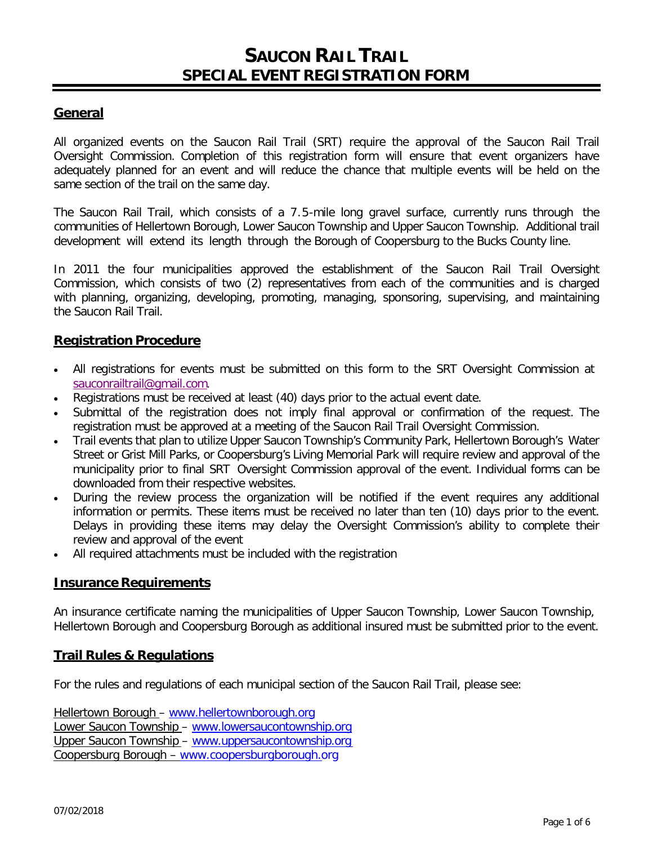# **SAUCON RAIL TRAIL SPECIAL EVENT REGISTRATION FORM**

## **General**

All organized events on the Saucon Rail Trail (SRT) require the approval of the Saucon Rail Trail Oversight Commission. Completion of this registration form will ensure that event organizers have adequately planned for an event and will reduce the chance that multiple events will be held on the same section of the trail on the same day.

The Saucon Rail Trail, which consists of a 7.5-mile long gravel surface, currently runs through the communities of Hellertown Borough, Lower Saucon Township and Upper Saucon Township. Additional trail development will extend its length through the Borough of Coopersburg to the Bucks County line.

In 2011 the four municipalities approved the establishment of the Saucon Rail Trail Oversight Commission, which consists of two (2) representatives from each of the communities and is charged with planning, organizing, developing, promoting, managing, sponsoring, supervising, and maintaining the Saucon Rail Trail.

### **Registration Procedure**

- All registrations for events must be submitted on this form to the SRT Oversight Commission at [sauconrailtrail@gmail.com](mailto:sauconrailtrail@gmail.com).
- Registrations must be received at least (40) days prior to the actual event date.
- Submittal of the registration does not imply final approval or confirmation of the request. The registration must be approved at a meeting of the Saucon Rail Trail Oversight Commission.
- Trail events that plan to utilize Upper Saucon Township's Community Park, Hellertown Borough's Water Street or Grist Mill Parks, or Coopersburg's Living Memorial Park will require review and approval of the municipality prior to final SRT Oversight Commission approval of the event. Individual forms can be downloaded from their respective websites.
- During the review process the organization will be notified if the event requires any additional information or permits. These items must be received no later than ten (10) days prior to the event. Delays in providing these items may delay the Oversight Commission's ability to complete their review and approval of the event
- All required attachments must be included with the registration

### **Insurance Requirements**

An insurance certificate naming the municipalities of Upper Saucon Township, Lower Saucon Township, Hellertown Borough and Coopersburg Borough as additional insured must be submitted prior to the event.

### **Trail Rules & Regulations**

For the rules and regulations of each municipal section of the Saucon Rail Trail, please see:

Hellertown Borough – [www.hellertownborough.org](http://www.hellertownborough.org/) Lower Saucon Township – [www.lowersaucontownship.org](http://www.lowersaucontownship.org/) Upper Saucon Township – [www.uppersaucontownship.org](http://www.uppersaucontownship.org/) Coopersburg Borough – [www.coopersburgborough.org](http://www.coopersburgborough.org/)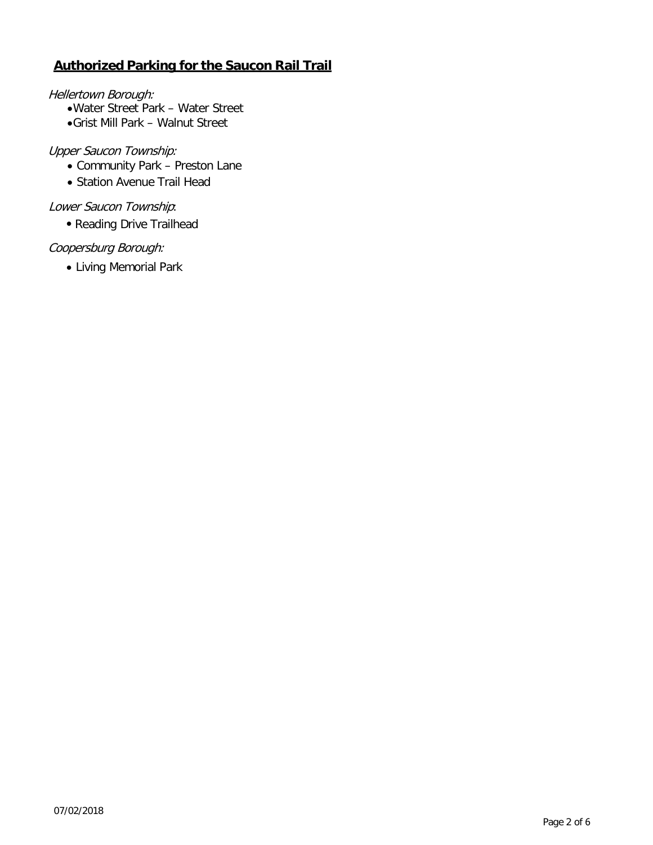# **Authorized Parking for the Saucon Rail Trail**

### Hellertown Borough:

- •Water Street Park Water Street
- •Grist Mill Park Walnut Street

## Upper Saucon Township:

- Community Park Preston Lane
- Station Avenue Trail Head

# Lower Saucon Township:

• Reading Drive Trailhead

## Coopersburg Borough:

• Living Memorial Park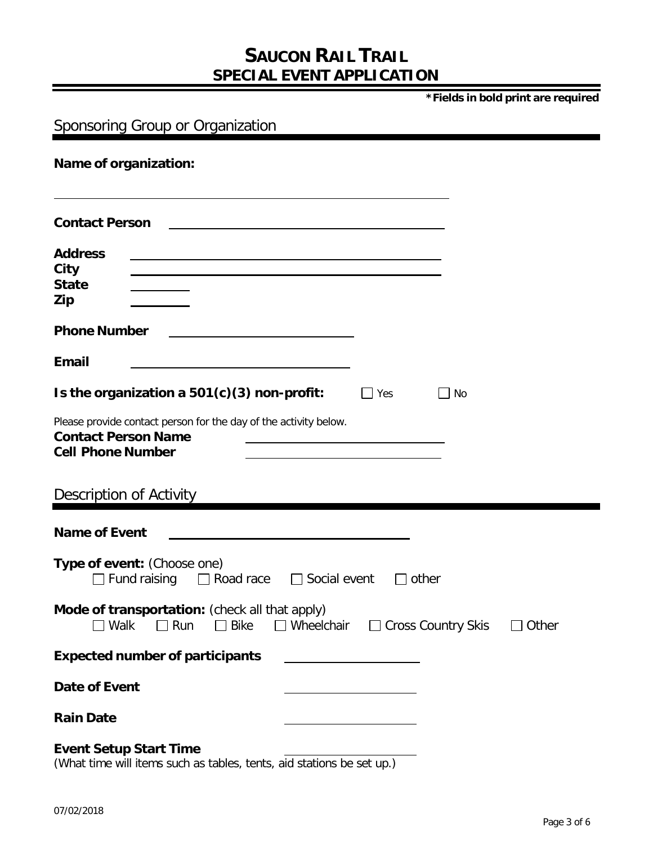# **SAUCON RAIL TRAIL SPECIAL EVENT APPLICATION**

**\*Fields in bold print are required**

| Sponsoring Group or Organization                                                                                                                      |  |  |  |  |
|-------------------------------------------------------------------------------------------------------------------------------------------------------|--|--|--|--|
| Name of organization:                                                                                                                                 |  |  |  |  |
| <b>Contact Person</b>                                                                                                                                 |  |  |  |  |
| <b>Address</b><br>City<br><b>State</b><br>Zip                                                                                                         |  |  |  |  |
| <b>Phone Number</b>                                                                                                                                   |  |  |  |  |
| <b>Email</b>                                                                                                                                          |  |  |  |  |
| Is the organization a $501(c)(3)$ non-profit:<br>$\Box$ Yes<br>No<br>$\Box$                                                                           |  |  |  |  |
| Please provide contact person for the day of the activity below.<br><b>Contact Person Name</b><br><b>Cell Phone Number</b>                            |  |  |  |  |
| Description of Activity                                                                                                                               |  |  |  |  |
| <b>Name of Event</b>                                                                                                                                  |  |  |  |  |
| Type of event: (Choose one)<br>Fund raising $\Box$ Road race $\Box$ Social event<br>$\Box$ other                                                      |  |  |  |  |
| Mode of transportation: (check all that apply)<br>$\Box$ Run<br>$\Box$ Bike<br>□ Cross Country Skis<br>$\sqsupset$ Walk<br>$\Box$ Wheelchair<br>Other |  |  |  |  |
| <b>Expected number of participants</b>                                                                                                                |  |  |  |  |
| <b>Date of Event</b>                                                                                                                                  |  |  |  |  |
| <b>Rain Date</b>                                                                                                                                      |  |  |  |  |
| <b>Event Setup Start Time</b><br>(What time will items such as tables, tents, aid stations be set up.)                                                |  |  |  |  |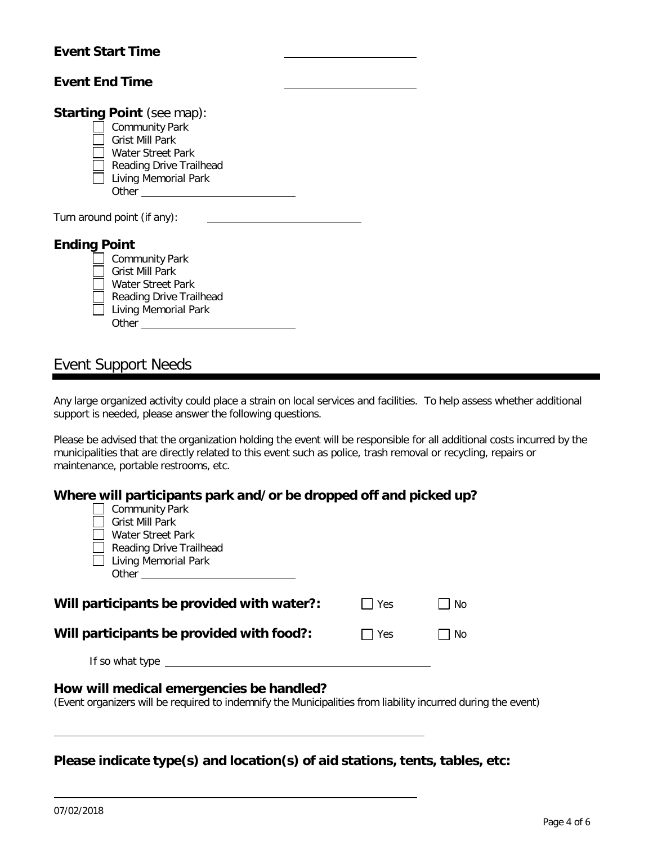## **Event Start Time**

| <b>Event End Time</b> |                                  |
|-----------------------|----------------------------------|
|                       |                                  |
|                       | <b>Starting Point</b> (see map): |
|                       | <b>Community Park</b>            |
|                       | Grist Mill Park                  |
|                       | Water Street Park                |
|                       | Reading Drive Trailhead          |
|                       | <b>Living Memorial Park</b>      |
|                       | Other                            |
|                       |                                  |
|                       | Turn around point (if any):      |
|                       |                                  |
| <b>Ending Point</b>   |                                  |
|                       | Community Park                   |
|                       | Grist Mill Park                  |
|                       | Water Street Park                |
|                       | Reading Drive Trailhead          |
|                       | <b>Living Memorial Park</b>      |

Event Support Needs

Other

Any large organized activity could place a strain on local services and facilities. To help assess whether additional support is needed, please answer the following questions.

Please be advised that the organization holding the event will be responsible for all additional costs incurred by the municipalities that are directly related to this event such as police, trash removal or recycling, repairs or maintenance, portable restrooms, etc.

| Where will participants park and/or be dropped off and picked up?                                                                                                                                                                 |     |     |  |  |
|-----------------------------------------------------------------------------------------------------------------------------------------------------------------------------------------------------------------------------------|-----|-----|--|--|
| <b>Community Park</b>                                                                                                                                                                                                             |     |     |  |  |
| <b>Grist Mill Park</b>                                                                                                                                                                                                            |     |     |  |  |
| Water Street Park                                                                                                                                                                                                                 |     |     |  |  |
| Reading Drive Trailhead<br>Living Memorial Park                                                                                                                                                                                   |     |     |  |  |
|                                                                                                                                                                                                                                   |     |     |  |  |
|                                                                                                                                                                                                                                   |     |     |  |  |
| Will participants be provided with water?:                                                                                                                                                                                        | Yes | No  |  |  |
| Will participants be provided with food?:                                                                                                                                                                                         | Yes | No. |  |  |
| If so what type $\sqrt{2\pi}$ is the set of the set of the set of the set of the set of the set of the set of the set of the set of the set of the set of the set of the set of the set of the set of the set of the set of the s |     |     |  |  |
| How will medical emergencies be handled?<br>(Event organizers will be required to indemnify the Municipalities from liability incurred during the event)                                                                          |     |     |  |  |
|                                                                                                                                                                                                                                   |     |     |  |  |

**Please indicate type(s) and location(s) of aid stations, tents, tables, etc:**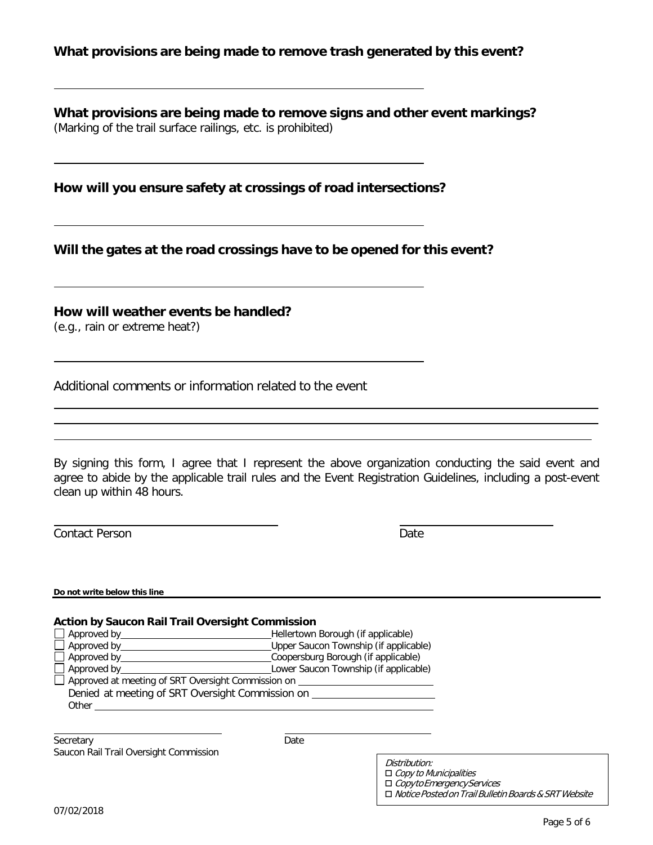## **What provisions are being made to remove trash generated by this event?**

**What provisions are being made to remove signs and other event markings?** (Marking of the trail surface railings, etc. is prohibited)

**How will you ensure safety at crossings of road intersections?**

**Will the gates at the road crossings have to be opened for this event?**

**How will weather events be handled?**

(e.g., rain or extreme heat?)

Additional comments or information related to the event

By signing this form, I agree that I represent the above organization conducting the said event and agree to abide by the applicable trail rules and the Event Registration Guidelines, including a post-event clean up within 48 hours.

Contact Person Date

**Do not write below this line**

#### **Action by Saucon Rail Trail Oversight Commission**

| $\Box$ Approved by                                               | Hellertown Borough (if applicable)    |
|------------------------------------------------------------------|---------------------------------------|
| $\Box$ Approved by                                               | Upper Saucon Township (if applicable) |
| Approved by _______________                                      | Coopersburg Borough (if applicable)   |
|                                                                  | Lower Saucon Township (if applicable) |
| $\Box$ Approved at meeting of SRT Oversight Commission on $\Box$ |                                       |
| Denied at meeting of SRT Oversight Commission on                 |                                       |
| Other                                                            |                                       |
|                                                                  |                                       |

Secretary Date Saucon Rail Trail Oversight Commission

| Distribution:                                               |
|-------------------------------------------------------------|
| $\Box$ Copy to Municipalities                               |
| □ Copyto Emergency Services                                 |
| $\Box$ Notice Posted on Trail Bulletin Boards & SRT Website |